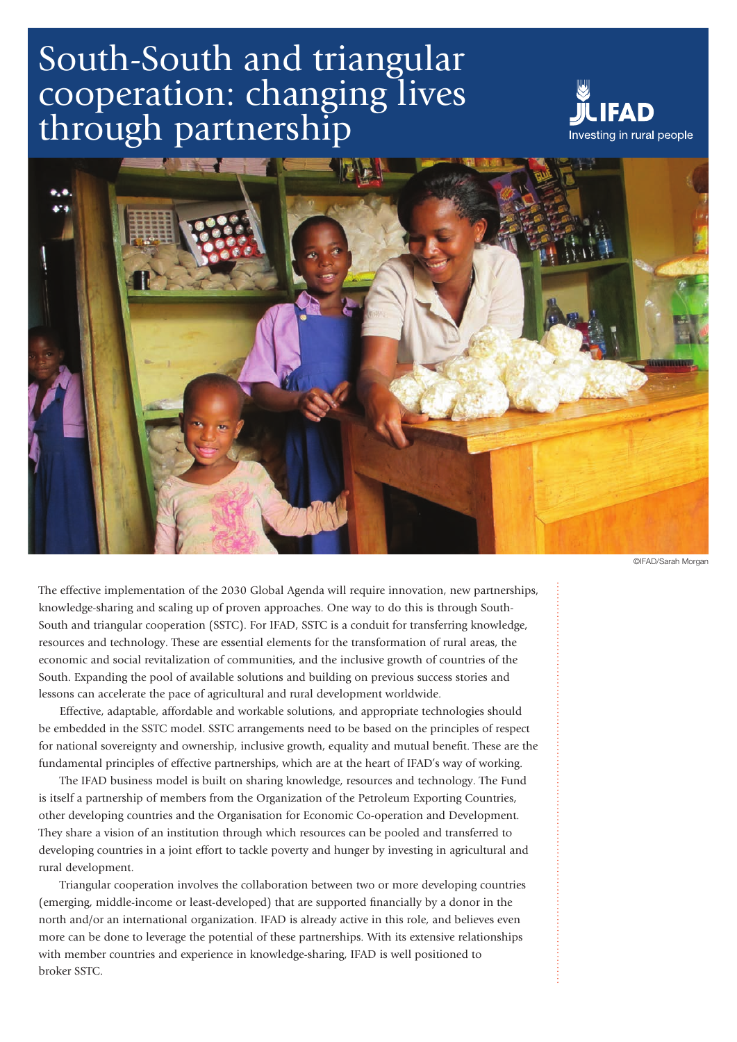# South-South and triangular cooperation: changing lives through partnership





©IFAD/Sarah Morgan

The effective implementation of the 2030 Global Agenda will require innovation, new partnerships, knowledge-sharing and scaling up of proven approaches. One way to do this is through South-South and triangular cooperation (SSTC). For IFAD, SSTC is a conduit for transferring knowledge, resources and technology. These are essential elements for the transformation of rural areas, the economic and social revitalization of communities, and the inclusive growth of countries of the South. Expanding the pool of available solutions and building on previous success stories and lessons can accelerate the pace of agricultural and rural development worldwide.

Effective, adaptable, affordable and workable solutions, and appropriate technologies should be embedded in the SSTC model. SSTC arrangements need to be based on the principles of respect for national sovereignty and ownership, inclusive growth, equality and mutual benefit. These are the fundamental principles of effective partnerships, which are at the heart of IFAD's way of working.

The IFAD business model is built on sharing knowledge, resources and technology. The Fund is itself a partnership of members from the Organization of the Petroleum Exporting Countries, other developing countries and the Organisation for Economic Co-operation and Development. They share a vision of an institution through which resources can be pooled and transferred to developing countries in a joint effort to tackle poverty and hunger by investing in agricultural and rural development.

Triangular cooperation involves the collaboration between two or more developing countries (emerging, middle-income or least-developed) that are supported financially by a donor in the north and/or an international organization. IFAD is already active in this role, and believes even more can be done to leverage the potential of these partnerships. With its extensive relationships with member countries and experience in knowledge-sharing, IFAD is well positioned to broker SSTC.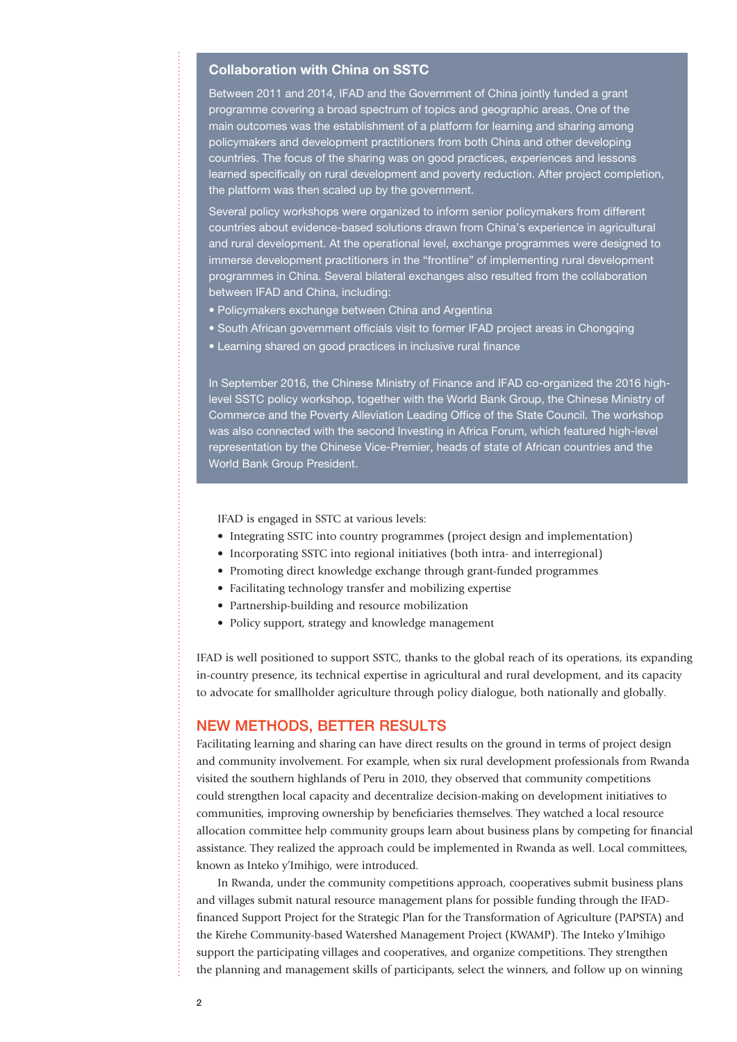#### Collaboration with China on SSTC

Between 2011 and 2014, IFAD and the Government of China jointly funded a grant programme covering a broad spectrum of topics and geographic areas. One of the main outcomes was the establishment of a platform for learning and sharing among policymakers and development practitioners from both China and other developing countries. The focus of the sharing was on good practices, experiences and lessons learned specifically on rural development and poverty reduction. After project completion, the platform was then scaled up by the government.

Several policy workshops were organized to inform senior policymakers from different countries about evidence-based solutions drawn from China's experience in agricultural and rural development. At the operational level, exchange programmes were designed to immerse development practitioners in the "frontline" of implementing rural development programmes in China. Several bilateral exchanges also resulted from the collaboration between IFAD and China, including:

- Policymakers exchange between China and Argentina
- South African government officials visit to former IFAD project areas in Chongqing
- Learning shared on good practices in inclusive rural finance

In September 2016, the Chinese Ministry of Finance and IFAD co-organized the 2016 highlevel SSTC policy workshop, together with the World Bank Group, the Chinese Ministry of Commerce and the Poverty Alleviation Leading Office of the State Council. The workshop was also connected with the second Investing in Africa Forum, which featured high-level representation by the Chinese Vice-Premier, heads of state of African countries and the World Bank Group President.

IFAD is engaged in SSTC at various levels:

- Integrating SSTC into country programmes (project design and implementation)
- Incorporating SSTC into regional initiatives (both intra- and interregional)
- Promoting direct knowledge exchange through grant-funded programmes
- Facilitating technology transfer and mobilizing expertise
- Partnership-building and resource mobilization
- Policy support, strategy and knowledge management

IFAD is well positioned to support SSTC, thanks to the global reach of its operations, its expanding in-country presence, its technical expertise in agricultural and rural development, and its capacity to advocate for smallholder agriculture through policy dialogue, both nationally and globally.

#### NEW METHODS, BETTER RESULTS

Facilitating learning and sharing can have direct results on the ground in terms of project design and community involvement. For example, when six rural development professionals from Rwanda visited the southern highlands of Peru in 2010, they observed that community competitions could strengthen local capacity and decentralize decision-making on development initiatives to communities, improving ownership by beneficiaries themselves. They watched a local resource allocation committee help community groups learn about business plans by competing for financial assistance. They realized the approach could be implemented in Rwanda as well. Local committees, known as Inteko y'Imihigo, were introduced.

In Rwanda, under the community competitions approach, cooperatives submit business plans and villages submit natural resource management plans for possible funding through the IFADfinanced Support Project for the Strategic Plan for the Transformation of Agriculture (PAPSTA) and the Kirehe Community-based Watershed Management Project (KWAMP). The Inteko y'Imihigo support the participating villages and cooperatives, and organize competitions. They strengthen the planning and management skills of participants, select the winners, and follow up on winning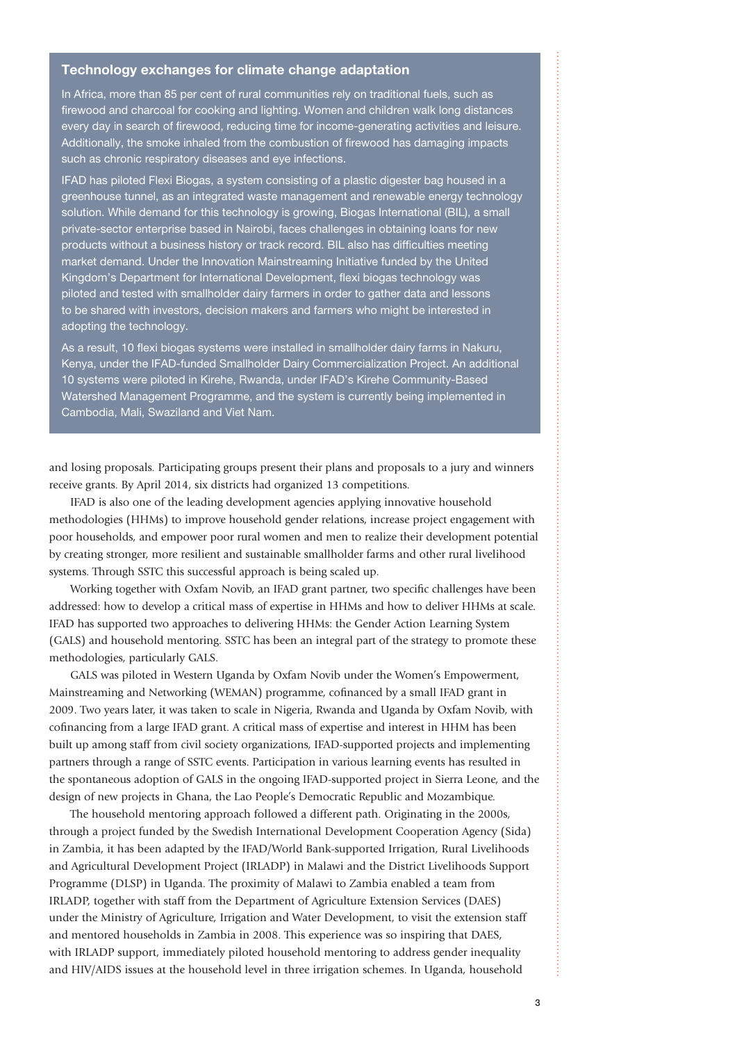#### Technology exchanges for climate change adaptation

In Africa, more than 85 per cent of rural communities rely on traditional fuels, such as firewood and charcoal for cooking and lighting. Women and children walk long distances every day in search of firewood, reducing time for income-generating activities and leisure. Additionally, the smoke inhaled from the combustion of firewood has damaging impacts such as chronic respiratory diseases and eye infections.

IFAD has piloted Flexi Biogas, a system consisting of a plastic digester bag housed in a greenhouse tunnel, as an integrated waste management and renewable energy technology solution. While demand for this technology is growing, Biogas International (BIL), a small private-sector enterprise based in Nairobi, faces challenges in obtaining loans for new products without a business history or track record. BIL also has difficulties meeting market demand. Under the Innovation Mainstreaming Initiative funded by the United Kingdom's Department for International Development, flexi biogas technology was piloted and tested with smallholder dairy farmers in order to gather data and lessons to be shared with investors, decision makers and farmers who might be interested in adopting the technology.

As a result, 10 flexi biogas systems were installed in smallholder dairy farms in Nakuru, Kenya, under the IFAD-funded Smallholder Dairy Commercialization Project. An additional 10 systems were piloted in Kirehe, Rwanda, under IFAD's Kirehe Community-Based Watershed Management Programme, and the system is currently being implemented in Cambodia, Mali, Swaziland and Viet Nam.

and losing proposals. Participating groups present their plans and proposals to a jury and winners receive grants. By April 2014, six districts had organized 13 competitions.

IFAD is also one of the leading development agencies applying innovative household methodologies (HHMs) to improve household gender relations, increase project engagement with poor households, and empower poor rural women and men to realize their development potential by creating stronger, more resilient and sustainable smallholder farms and other rural livelihood systems. Through SSTC this successful approach is being scaled up.

Working together with Oxfam Novib, an IFAD grant partner, two specific challenges have been addressed: how to develop a critical mass of expertise in HHMs and how to deliver HHMs at scale. IFAD has supported two approaches to delivering HHMs: the Gender Action Learning System (GALS) and household mentoring. SSTC has been an integral part of the strategy to promote these methodologies, particularly GALS.

GALS was piloted in Western Uganda by Oxfam Novib under the Women's Empowerment, Mainstreaming and Networking (WEMAN) programme, cofinanced by a small IFAD grant in 2009. Two years later, it was taken to scale in Nigeria, Rwanda and Uganda by Oxfam Novib, with cofinancing from a large IFAD grant. A critical mass of expertise and interest in HHM has been built up among staff from civil society organizations, IFAD-supported projects and implementing partners through a range of SSTC events. Participation in various learning events has resulted in the spontaneous adoption of GALS in the ongoing IFAD-supported project in Sierra Leone, and the design of new projects in Ghana, the Lao People's Democratic Republic and Mozambique.

The household mentoring approach followed a different path. Originating in the 2000s, through a project funded by the Swedish International Development Cooperation Agency (Sida) in Zambia, it has been adapted by the IFAD/World Bank-supported Irrigation, Rural Livelihoods and Agricultural Development Project (IRLADP) in Malawi and the District Livelihoods Support Programme (DLSP) in Uganda. The proximity of Malawi to Zambia enabled a team from IRLADP, together with staff from the Department of Agriculture Extension Services (DAES) under the Ministry of Agriculture, Irrigation and Water Development, to visit the extension staff and mentored households in Zambia in 2008. This experience was so inspiring that DAES, with IRLADP support, immediately piloted household mentoring to address gender inequality and HIV/AIDS issues at the household level in three irrigation schemes. In Uganda, household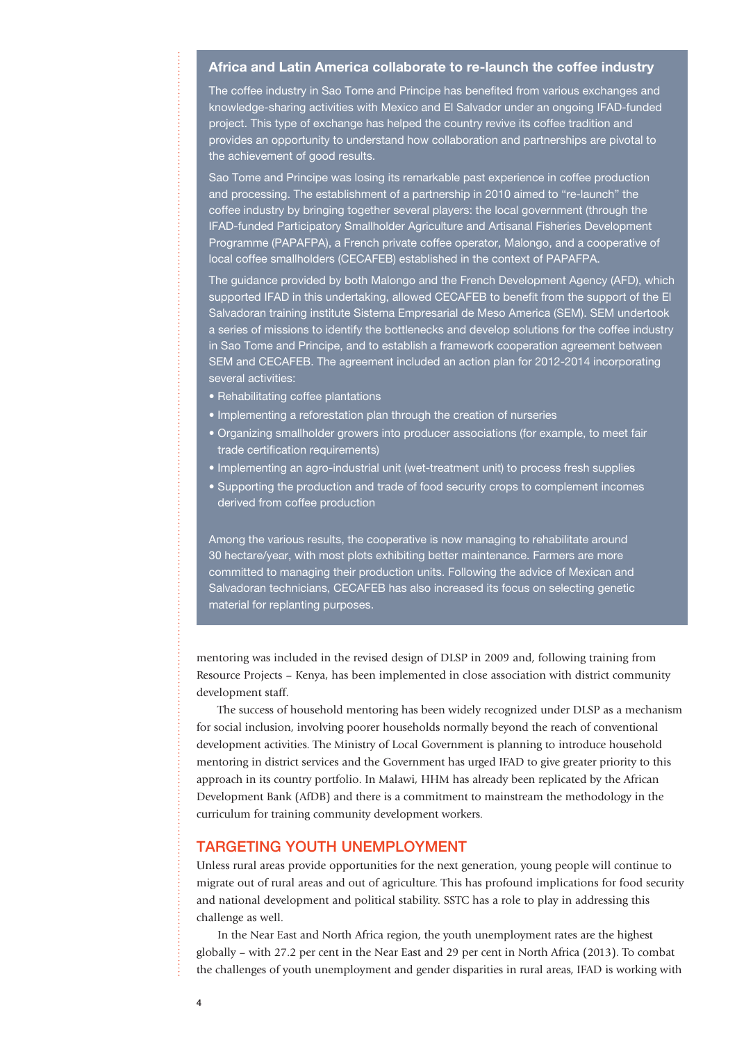## Africa and Latin America collaborate to re-launch the coffee industry

The coffee industry in Sao Tome and Principe has benefited from various exchanges and knowledge-sharing activities with Mexico and El Salvador under an ongoing IFAD-funded project. This type of exchange has helped the country revive its coffee tradition and provides an opportunity to understand how collaboration and partnerships are pivotal to the achievement of good results.

Sao Tome and Principe was losing its remarkable past experience in coffee production and processing. The establishment of a partnership in 2010 aimed to "re-launch" the coffee industry by bringing together several players: the local government (through the IFAD-funded Participatory Smallholder Agriculture and Artisanal Fisheries Development Programme (PAPAFPA), a French private coffee operator, Malongo, and a cooperative of local coffee smallholders (CECAFEB) established in the context of PAPAFPA.

The guidance provided by both Malongo and the French Development Agency (AFD), which supported IFAD in this undertaking, allowed CECAFEB to benefit from the support of the El Salvadoran training institute Sistema Empresarial de Meso America (SEM). SEM undertook a series of missions to identify the bottlenecks and develop solutions for the coffee industry in Sao Tome and Principe, and to establish a framework cooperation agreement between SEM and CECAFEB. The agreement included an action plan for 2012-2014 incorporating several activities:

- Rehabilitating coffee plantations
- Implementing a reforestation plan through the creation of nurseries
- Organizing smallholder growers into producer associations (for example, to meet fair trade certification requirements)
- Implementing an agro-industrial unit (wet-treatment unit) to process fresh supplies
- Supporting the production and trade of food security crops to complement incomes derived from coffee production

Among the various results, the cooperative is now managing to rehabilitate around 30 hectare/year, with most plots exhibiting better maintenance. Farmers are more committed to managing their production units. Following the advice of Mexican and Salvadoran technicians, CECAFEB has also increased its focus on selecting genetic material for replanting purposes.

mentoring was included in the revised design of DLSP in 2009 and, following training from Resource Projects – Kenya, has been implemented in close association with district community development staff.

The success of household mentoring has been widely recognized under DLSP as a mechanism for social inclusion, involving poorer households normally beyond the reach of conventional development activities. The Ministry of Local Government is planning to introduce household mentoring in district services and the Government has urged IFAD to give greater priority to this approach in its country portfolio. In Malawi, HHM has already been replicated by the African Development Bank (AfDB) and there is a commitment to mainstream the methodology in the curriculum for training community development workers.

## TARGETING YOUTH UNEMPLOYMENT

Unless rural areas provide opportunities for the next generation, young people will continue to migrate out of rural areas and out of agriculture. This has profound implications for food security and national development and political stability. SSTC has a role to play in addressing this challenge as well.

In the Near East and North Africa region, the youth unemployment rates are the highest globally – with 27.2 per cent in the Near East and 29 per cent in North Africa (2013). To combat the challenges of youth unemployment and gender disparities in rural areas, IFAD is working with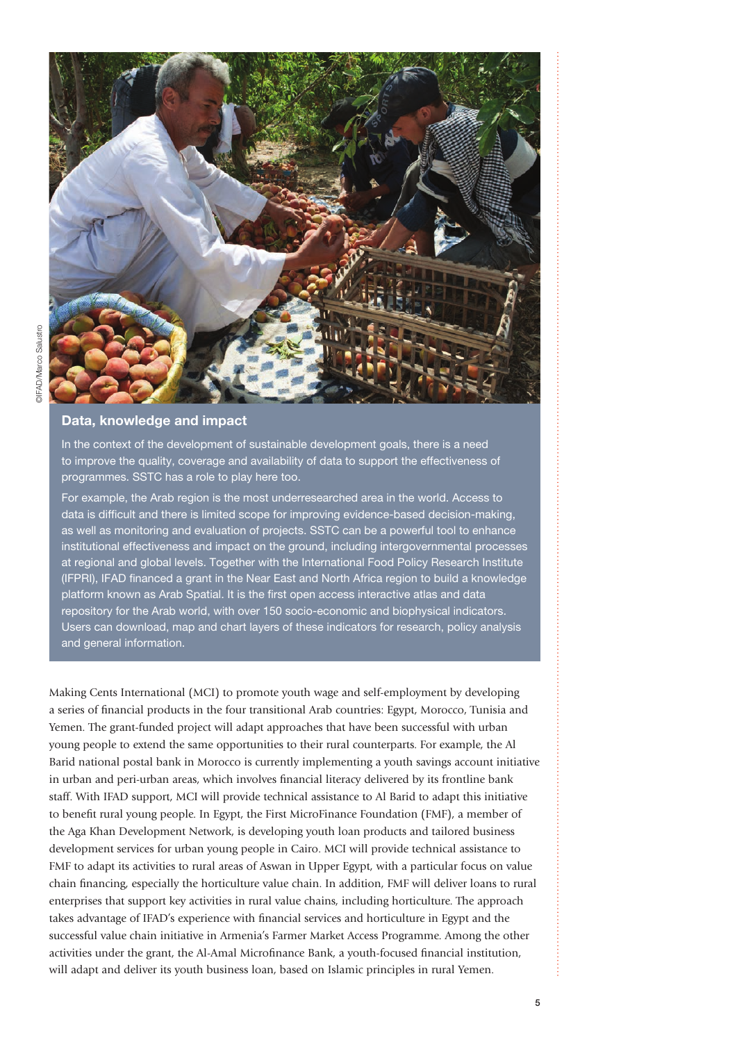

### Data, knowledge and impact

In the context of the development of sustainable development goals, there is a need to improve the quality, coverage and availability of data to support the effectiveness of programmes. SSTC has a role to play here too.

For example, the Arab region is the most underresearched area in the world. Access to data is difficult and there is limited scope for improving evidence-based decision-making, as well as monitoring and evaluation of projects. SSTC can be a powerful tool to enhance institutional effectiveness and impact on the ground, including intergovernmental processes at regional and global levels. Together with the International Food Policy Research Institute (IFPRI), IFAD financed a grant in the Near East and North Africa region to build a knowledge platform known as Arab Spatial. It is the first open access interactive atlas and data repository for the Arab world, with over 150 socio-economic and biophysical indicators. Users can download, map and chart layers of these indicators for research, policy analysis and general information.

Making Cents International (MCI) to promote youth wage and self-employment by developing a series of financial products in the four transitional Arab countries: Egypt, Morocco, Tunisia and Yemen. The grant-funded project will adapt approaches that have been successful with urban young people to extend the same opportunities to their rural counterparts. For example, the Al Barid national postal bank in Morocco is currently implementing a youth savings account initiative in urban and peri-urban areas, which involves financial literacy delivered by its frontline bank staff. With IFAD support, MCI will provide technical assistance to Al Barid to adapt this initiative to benefit rural young people. In Egypt, the First MicroFinance Foundation (FMF), a member of the Aga Khan Development Network, is developing youth loan products and tailored business development services for urban young people in Cairo. MCI will provide technical assistance to FMF to adapt its activities to rural areas of Aswan in Upper Egypt, with a particular focus on value chain financing, especially the horticulture value chain. In addition, FMF will deliver loans to rural enterprises that support key activities in rural value chains, including horticulture. The approach takes advantage of IFAD's experience with financial services and horticulture in Egypt and the successful value chain initiative in Armenia's Farmer Market Access Programme. Among the other activities under the grant, the Al-Amal Microfinance Bank, a youth-focused financial institution, will adapt and deliver its youth business loan, based on Islamic principles in rural Yemen.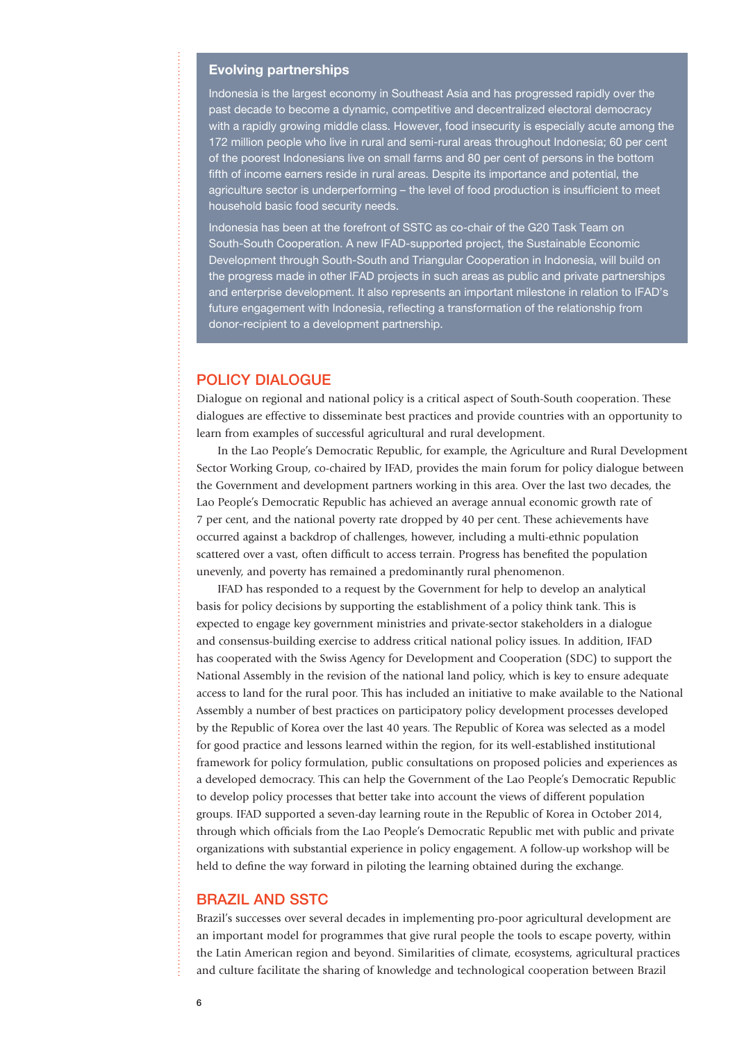#### Evolving partnerships

Indonesia is the largest economy in Southeast Asia and has progressed rapidly over the past decade to become a dynamic, competitive and decentralized electoral democracy with a rapidly growing middle class. However, food insecurity is especially acute among the 172 million people who live in rural and semi-rural areas throughout Indonesia; 60 per cent of the poorest Indonesians live on small farms and 80 per cent of persons in the bottom fifth of income earners reside in rural areas. Despite its importance and potential, the agriculture sector is underperforming – the level of food production is insufficient to meet household basic food security needs.

Indonesia has been at the forefront of SSTC as co-chair of the G20 Task Team on South-South Cooperation. A new IFAD-supported project, the Sustainable Economic Development through South-South and Triangular Cooperation in Indonesia, will build on the progress made in other IFAD projects in such areas as public and private partnerships and enterprise development. It also represents an important milestone in relation to IFAD's future engagement with Indonesia, reflecting a transformation of the relationship from donor-recipient to a development partnership.

#### POLICY DIALOGUE

Dialogue on regional and national policy is a critical aspect of South-South cooperation. These dialogues are effective to disseminate best practices and provide countries with an opportunity to learn from examples of successful agricultural and rural development.

In the Lao People's Democratic Republic, for example, the Agriculture and Rural Development Sector Working Group, co-chaired by IFAD, provides the main forum for policy dialogue between the Government and development partners working in this area. Over the last two decades, the Lao People's Democratic Republic has achieved an average annual economic growth rate of 7 per cent, and the national poverty rate dropped by 40 per cent. These achievements have occurred against a backdrop of challenges, however, including a multi-ethnic population scattered over a vast, often difficult to access terrain. Progress has benefited the population unevenly, and poverty has remained a predominantly rural phenomenon.

IFAD has responded to a request by the Government for help to develop an analytical basis for policy decisions by supporting the establishment of a policy think tank. This is expected to engage key government ministries and private-sector stakeholders in a dialogue and consensus-building exercise to address critical national policy issues. In addition, IFAD has cooperated with the Swiss Agency for Development and Cooperation (SDC) to support the National Assembly in the revision of the national land policy, which is key to ensure adequate access to land for the rural poor. This has included an initiative to make available to the National Assembly a number of best practices on participatory policy development processes developed by the Republic of Korea over the last 40 years. The Republic of Korea was selected as a model for good practice and lessons learned within the region, for its well-established institutional framework for policy formulation, public consultations on proposed policies and experiences as a developed democracy. This can help the Government of the Lao People's Democratic Republic to develop policy processes that better take into account the views of different population groups. IFAD supported a seven-day learning route in the Republic of Korea in October 2014, through which officials from the Lao People's Democratic Republic met with public and private organizations with substantial experience in policy engagement. A follow-up workshop will be held to define the way forward in piloting the learning obtained during the exchange.

#### BRAZIL AND SSTC

Brazil's successes over several decades in implementing pro-poor agricultural development are an important model for programmes that give rural people the tools to escape poverty, within the Latin American region and beyond. Similarities of climate, ecosystems, agricultural practices and culture facilitate the sharing of knowledge and technological cooperation between Brazil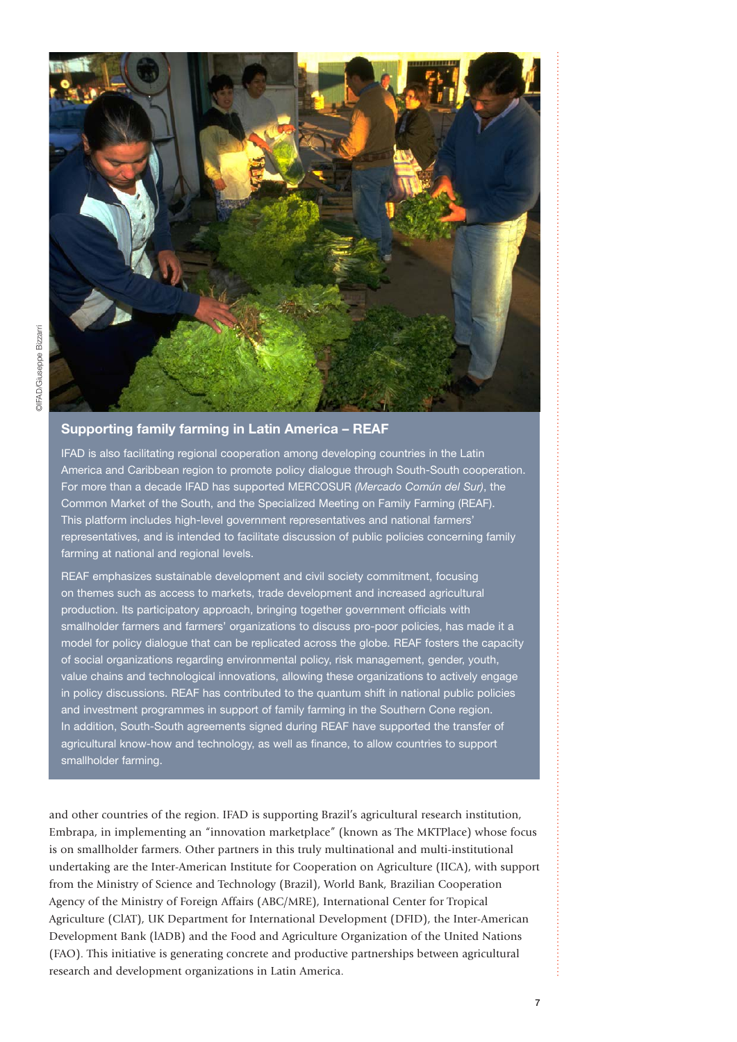

## Supporting family farming in Latin America – REAF

IFAD is also facilitating regional cooperation among developing countries in the Latin America and Caribbean region to promote policy dialogue through South-South cooperation. For more than a decade IFAD has supported MERCOSUR *(Mercado Común del Sur)*, the Common Market of the South, and the Specialized Meeting on Family Farming (REAF). This platform includes high-level government representatives and national farmers' representatives, and is intended to facilitate discussion of public policies concerning family farming at national and regional levels.

REAF emphasizes sustainable development and civil society commitment, focusing on themes such as access to markets, trade development and increased agricultural production. Its participatory approach, bringing together government officials with smallholder farmers and farmers' organizations to discuss pro-poor policies, has made it a model for policy dialogue that can be replicated across the globe. REAF fosters the capacity of social organizations regarding environmental policy, risk management, gender, youth, value chains and technological innovations, allowing these organizations to actively engage in policy discussions. REAF has contributed to the quantum shift in national public policies and investment programmes in support of family farming in the Southern Cone region. In addition, South-South agreements signed during REAF have supported the transfer of agricultural know-how and technology, as well as finance, to allow countries to support smallholder farming.

and other countries of the region. IFAD is supporting Brazil's agricultural research institution, Embrapa, in implementing an "innovation marketplace" (known as The MKTPlace) whose focus is on smallholder farmers. Other partners in this truly multinational and multi-institutional undertaking are the Inter-American Institute for Cooperation on Agriculture (IICA), with support from the Ministry of Science and Technology (Brazil), World Bank, Brazilian Cooperation Agency of the Ministry of Foreign Affairs (ABC/MRE), International Center for Tropical Agriculture (ClAT), UK Department for International Development (DFID), the Inter-American Development Bank (lADB) and the Food and Agriculture Organization of the United Nations (FAO). This initiative is generating concrete and productive partnerships between agricultural research and development organizations in Latin America.